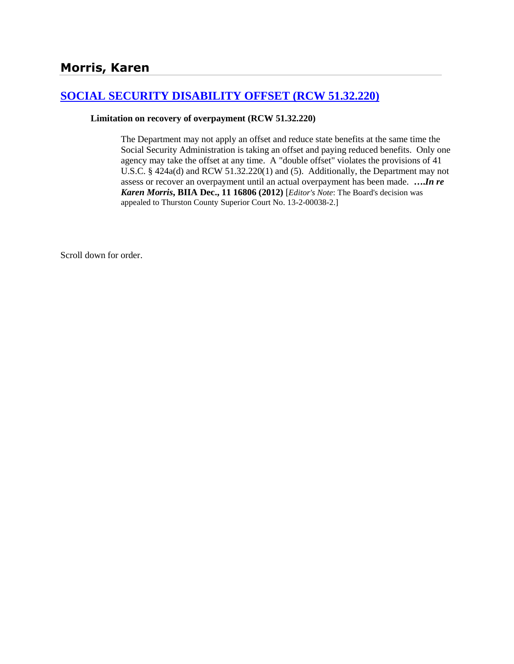# **[SOCIAL SECURITY DISABILITY OFFSET \(RCW 51.32.220\)](http://www.biia.wa.gov/SDSubjectIndex.html#SOCIAL_SECURITY_DISABILITY_OFFSET)**

### **Limitation on recovery of overpayment (RCW 51.32.220)**

The Department may not apply an offset and reduce state benefits at the same time the Social Security Administration is taking an offset and paying reduced benefits. Only one agency may take the offset at any time. A "double offset" violates the provisions of 41 U.S.C. § 424a(d) and RCW 51.32.220(1) and (5). Additionally, the Department may not assess or recover an overpayment until an actual overpayment has been made. **….***In re Karen Morris***, BIIA Dec., 11 16806 (2012)** [*Editor's Note*: The Board's decision was appealed to Thurston County Superior Court No. 13-2-00038-2.]

Scroll down for order.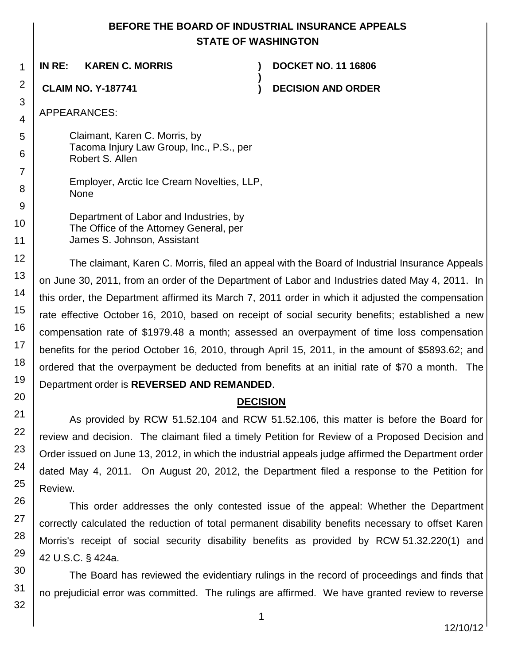## **BEFORE THE BOARD OF INDUSTRIAL INSURANCE APPEALS STATE OF WASHINGTON**

**)**

**IN RE: KAREN C. MORRIS ) DOCKET NO. 11 16806**

**CLAIM NO. Y-187741 ) DECISION AND ORDER**

APPEARANCES:

Claimant, Karen C. Morris, by Tacoma Injury Law Group, Inc., P.S., per Robert S. Allen

Employer, Arctic Ice Cream Novelties, LLP, None

Department of Labor and Industries, by The Office of the Attorney General, per James S. Johnson, Assistant

The claimant, Karen C. Morris, filed an appeal with the Board of Industrial Insurance Appeals on June 30, 2011, from an order of the Department of Labor and Industries dated May 4, 2011. In this order, the Department affirmed its March 7, 2011 order in which it adjusted the compensation rate effective October 16, 2010, based on receipt of social security benefits; established a new compensation rate of \$1979.48 a month; assessed an overpayment of time loss compensation benefits for the period October 16, 2010, through April 15, 2011, in the amount of \$5893.62; and ordered that the overpayment be deducted from benefits at an initial rate of \$70 a month. The Department order is **REVERSED AND REMANDED**.

## **DECISION**

As provided by RCW 51.52.104 and RCW 51.52.106, this matter is before the Board for review and decision. The claimant filed a timely Petition for Review of a Proposed Decision and Order issued on June 13, 2012, in which the industrial appeals judge affirmed the Department order dated May 4, 2011. On August 20, 2012, the Department filed a response to the Petition for Review.

This order addresses the only contested issue of the appeal: Whether the Department correctly calculated the reduction of total permanent disability benefits necessary to offset Karen Morris's receipt of social security disability benefits as provided by RCW 51.32.220(1) and 42 U.S.C. § 424a.

The Board has reviewed the evidentiary rulings in the record of proceedings and finds that no prejudicial error was committed. The rulings are affirmed. We have granted review to reverse

32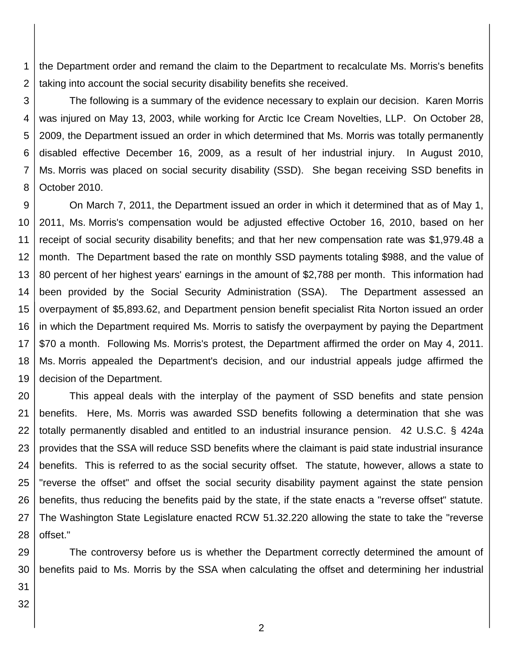1 2 the Department order and remand the claim to the Department to recalculate Ms. Morris's benefits taking into account the social security disability benefits she received.

3 4 5 6 7 8 The following is a summary of the evidence necessary to explain our decision. Karen Morris was injured on May 13, 2003, while working for Arctic Ice Cream Novelties, LLP. On October 28, 2009, the Department issued an order in which determined that Ms. Morris was totally permanently disabled effective December 16, 2009, as a result of her industrial injury. In August 2010, Ms. Morris was placed on social security disability (SSD). She began receiving SSD benefits in October 2010.

9 10 11 12 13 14 15 16 17 18 19 On March 7, 2011, the Department issued an order in which it determined that as of May 1, 2011, Ms. Morris's compensation would be adjusted effective October 16, 2010, based on her receipt of social security disability benefits; and that her new compensation rate was \$1,979.48 a month. The Department based the rate on monthly SSD payments totaling \$988, and the value of 80 percent of her highest years' earnings in the amount of \$2,788 per month. This information had been provided by the Social Security Administration (SSA). The Department assessed an overpayment of \$5,893.62, and Department pension benefit specialist Rita Norton issued an order in which the Department required Ms. Morris to satisfy the overpayment by paying the Department \$70 a month. Following Ms. Morris's protest, the Department affirmed the order on May 4, 2011. Ms. Morris appealed the Department's decision, and our industrial appeals judge affirmed the decision of the Department.

20 21 22 23 24 25 26 27 28 This appeal deals with the interplay of the payment of SSD benefits and state pension benefits. Here, Ms. Morris was awarded SSD benefits following a determination that she was totally permanently disabled and entitled to an industrial insurance pension. 42 U.S.C. § 424a provides that the SSA will reduce SSD benefits where the claimant is paid state industrial insurance benefits. This is referred to as the social security offset. The statute, however, allows a state to "reverse the offset" and offset the social security disability payment against the state pension benefits, thus reducing the benefits paid by the state, if the state enacts a "reverse offset" statute. The Washington State Legislature enacted RCW 51.32.220 allowing the state to take the "reverse offset."

29 30 The controversy before us is whether the Department correctly determined the amount of benefits paid to Ms. Morris by the SSA when calculating the offset and determining her industrial

31 32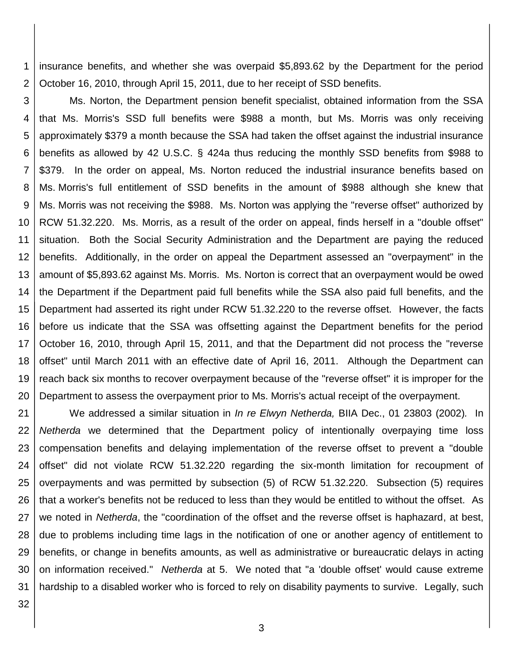1 2 insurance benefits, and whether she was overpaid \$5,893.62 by the Department for the period October 16, 2010, through April 15, 2011, due to her receipt of SSD benefits.

3 4 5 6 7 8 9 10 11 12 13 14 15 16 17 18 19 20 Ms. Norton, the Department pension benefit specialist, obtained information from the SSA that Ms. Morris's SSD full benefits were \$988 a month, but Ms. Morris was only receiving approximately \$379 a month because the SSA had taken the offset against the industrial insurance benefits as allowed by 42 U.S.C. § 424a thus reducing the monthly SSD benefits from \$988 to \$379. In the order on appeal, Ms. Norton reduced the industrial insurance benefits based on Ms. Morris's full entitlement of SSD benefits in the amount of \$988 although she knew that Ms. Morris was not receiving the \$988. Ms. Norton was applying the "reverse offset" authorized by RCW 51.32.220. Ms. Morris, as a result of the order on appeal, finds herself in a "double offset" situation. Both the Social Security Administration and the Department are paying the reduced benefits. Additionally, in the order on appeal the Department assessed an "overpayment" in the amount of \$5,893.62 against Ms. Morris. Ms. Norton is correct that an overpayment would be owed the Department if the Department paid full benefits while the SSA also paid full benefits, and the Department had asserted its right under RCW 51.32.220 to the reverse offset. However, the facts before us indicate that the SSA was offsetting against the Department benefits for the period October 16, 2010, through April 15, 2011, and that the Department did not process the "reverse offset" until March 2011 with an effective date of April 16, 2011. Although the Department can reach back six months to recover overpayment because of the "reverse offset" it is improper for the Department to assess the overpayment prior to Ms. Morris's actual receipt of the overpayment.

21 22 23 24 25 26 27 28 29 30 31 We addressed a similar situation in *In re Elwyn Netherda,* BIIA Dec., 01 23803 (2002)*.* In *Netherda* we determined that the Department policy of intentionally overpaying time loss compensation benefits and delaying implementation of the reverse offset to prevent a "double offset" did not violate RCW 51.32.220 regarding the six-month limitation for recoupment of overpayments and was permitted by subsection (5) of RCW 51.32.220. Subsection (5) requires that a worker's benefits not be reduced to less than they would be entitled to without the offset. As we noted in *Netherda*, the "coordination of the offset and the reverse offset is haphazard, at best, due to problems including time lags in the notification of one or another agency of entitlement to benefits, or change in benefits amounts, as well as administrative or bureaucratic delays in acting on information received." *Netherda* at 5. We noted that "a 'double offset' would cause extreme hardship to a disabled worker who is forced to rely on disability payments to survive. Legally, such

32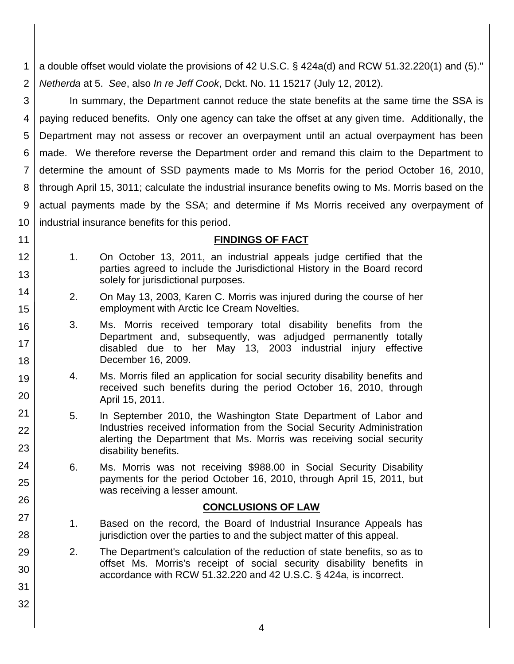1 2 a double offset would violate the provisions of 42 U.S.C. § 424a(d) and RCW 51.32.220(1) and (5)." *Netherda* at 5. *See*, also *In re Jeff Cook*, Dckt. No. 11 15217 (July 12, 2012).

3 4 5 6 7 8 9 10 In summary, the Department cannot reduce the state benefits at the same time the SSA is paying reduced benefits. Only one agency can take the offset at any given time. Additionally, the Department may not assess or recover an overpayment until an actual overpayment has been made. We therefore reverse the Department order and remand this claim to the Department to determine the amount of SSD payments made to Ms Morris for the period October 16, 2010, through April 15, 3011; calculate the industrial insurance benefits owing to Ms. Morris based on the actual payments made by the SSA; and determine if Ms Morris received any overpayment of industrial insurance benefits for this period.

### **FINDINGS OF FACT**

1. On October 13, 2011, an industrial appeals judge certified that the parties agreed to include the Jurisdictional History in the Board record solely for jurisdictional purposes.

11 12

13

14

15

16

17

18

19

20

21

22

23

24

25

26

27

28

29

30

31

32

- 2. On May 13, 2003, Karen C. Morris was injured during the course of her employment with Arctic Ice Cream Novelties.
- 3. Ms. Morris received temporary total disability benefits from the Department and, subsequently, was adjudged permanently totally disabled due to her May 13, 2003 industrial injury effective December 16, 2009.
- 4. Ms. Morris filed an application for social security disability benefits and received such benefits during the period October 16, 2010, through April 15, 2011.
- 5. In September 2010, the Washington State Department of Labor and Industries received information from the Social Security Administration alerting the Department that Ms. Morris was receiving social security disability benefits.
- 6. Ms. Morris was not receiving \$988.00 in Social Security Disability payments for the period October 16, 2010, through April 15, 2011, but was receiving a lesser amount.

### **CONCLUSIONS OF LAW**

- 1. Based on the record, the Board of Industrial Insurance Appeals has jurisdiction over the parties to and the subject matter of this appeal.
- 2. The Department's calculation of the reduction of state benefits, so as to offset Ms. Morris's receipt of social security disability benefits in accordance with RCW 51.32.220 and 42 U.S.C. § 424a, is incorrect.
	- 4